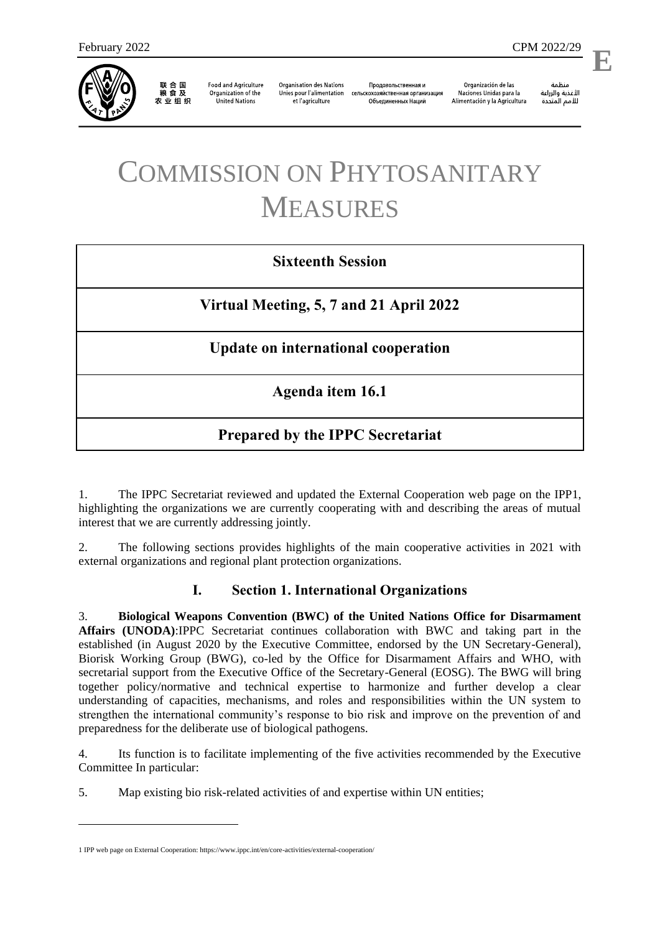

联合国<br>粮食及 农业组织

**Food and Agriculture** Organization of the **United Nations** 

**Organisation des Nations** Unies pour l'alimentation et l'agriculture

Продовольственная и сельскохозяйственная организация Объелиненных Наций

Organización de las Naciones Unidas para la Alimentación y la Agricultura

منظمة الأغذية والزراعة للأمم المتحدة

l,

# COMMISSION ON PHYTOSANITARY MEASURES

### **Sixteenth Session**

**Virtual Meeting, 5, 7 and 21 April 2022**

**Update on international cooperation** 

**Agenda item 16.1**

## **Prepared by the IPPC Secretariat**

1. The IPPC Secretariat reviewed and updated the External Cooperation web page on the IPP1, highlighting the organizations we are currently cooperating with and describing the areas of mutual interest that we are currently addressing jointly.

2. The following sections provides highlights of the main cooperative activities in 2021 with external organizations and regional plant protection organizations.

#### **I. Section 1. International Organizations**

3. **Biological Weapons Convention (BWC) of the United Nations Office for Disarmament Affairs (UNODA)**:IPPC Secretariat continues collaboration with BWC and taking part in the established (in August 2020 by the Executive Committee, endorsed by the UN Secretary-General), Biorisk Working Group (BWG), co-led by the Office for Disarmament Affairs and WHO, with secretarial support from the Executive Office of the Secretary-General (EOSG). The BWG will bring together policy/normative and technical expertise to harmonize and further develop a clear understanding of capacities, mechanisms, and roles and responsibilities within the UN system to strengthen the international community's response to bio risk and improve on the prevention of and preparedness for the deliberate use of biological pathogens.

4. Its function is to facilitate implementing of the five activities recommended by the Executive Committee In particular:

5. Map existing bio risk-related activities of and expertise within UN entities;

1

<sup>1</sup> IPP web page on External Cooperation: https://www.ippc.int/en/core-activities/external-cooperation/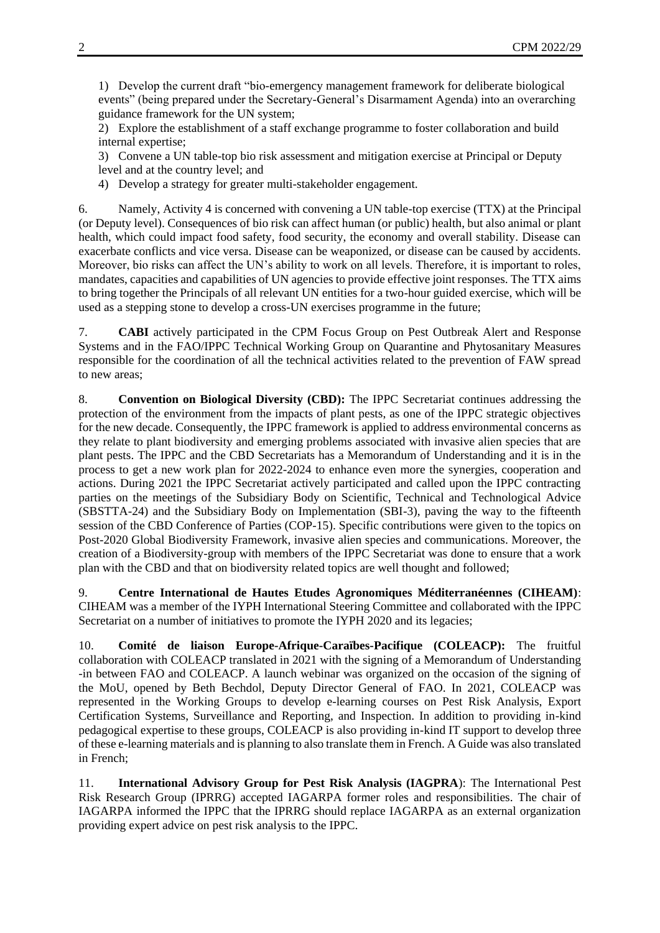1) Develop the current draft "bio-emergency management framework for deliberate biological events" (being prepared under the Secretary-General's Disarmament Agenda) into an overarching guidance framework for the UN system;

2) Explore the establishment of a staff exchange programme to foster collaboration and build internal expertise;

3) Convene a UN table-top bio risk assessment and mitigation exercise at Principal or Deputy level and at the country level; and

4) Develop a strategy for greater multi-stakeholder engagement.

6. Namely, Activity 4 is concerned with convening a UN table-top exercise (TTX) at the Principal (or Deputy level). Consequences of bio risk can affect human (or public) health, but also animal or plant health, which could impact food safety, food security, the economy and overall stability. Disease can exacerbate conflicts and vice versa. Disease can be weaponized, or disease can be caused by accidents. Moreover, bio risks can affect the UN's ability to work on all levels. Therefore, it is important to roles, mandates, capacities and capabilities of UN agencies to provide effective joint responses. The TTX aims to bring together the Principals of all relevant UN entities for a two-hour guided exercise, which will be used as a stepping stone to develop a cross-UN exercises programme in the future;

7. **CABI** actively participated in the CPM Focus Group on Pest Outbreak Alert and Response Systems and in the FAO/IPPC Technical Working Group on Quarantine and Phytosanitary Measures responsible for the coordination of all the technical activities related to the prevention of FAW spread to new areas;

8. **Convention on Biological Diversity (CBD):** The IPPC Secretariat continues addressing the protection of the environment from the impacts of plant pests, as one of the IPPC strategic objectives for the new decade. Consequently, the IPPC framework is applied to address environmental concerns as they relate to plant biodiversity and emerging problems associated with invasive alien species that are plant pests. The IPPC and the CBD Secretariats has a Memorandum of Understanding and it is in the process to get a new work plan for 2022-2024 to enhance even more the synergies, cooperation and actions. During 2021 the IPPC Secretariat actively participated and called upon the IPPC contracting parties on the meetings of the [Subsidiary Body on Scientific, Technical and Technological Advice](https://www.cbd.int/meetings/SBSTTA-24)  [\(SBSTTA-24\)](https://www.cbd.int/meetings/SBSTTA-24) and the [Subsidiary Body on Implementation \(SBI-3\),](https://www.cbd.int/conferences/sbstta24-sbi3/sbi-03) paving the way to the fifteenth session of the CBD Conference of Parties (COP-15). Specific contributions were given to the topics on Post-2020 Global Biodiversity Framework, invasive alien species and communications. Moreover, the creation of a Biodiversity-group with members of the IPPC Secretariat was done to ensure that a work plan with the CBD and that on biodiversity related topics are well thought and followed;

9. **Centre International de Hautes Etudes Agronomiques Méditerranéennes (CIHEAM)**: CIHEAM was a member of the IYPH International Steering Committee and collaborated with the IPPC Secretariat on a number of initiatives to promote the IYPH 2020 and its legacies;

10. **Comité de liaison Europe-Afrique-Caraïbes-Pacifique (COLEACP):** The fruitful collaboration with COLEACP translated in 2021 with the signing of a Memorandum of Understanding -in between FAO and COLEACP. A launch webinar was organized on the occasion of the signing of the MoU, opened by Beth Bechdol, Deputy Director General of FAO. In 2021, COLEACP was represented in the Working Groups to develop e-learning courses on Pest Risk Analysis, Export Certification Systems, Surveillance and Reporting, and Inspection. In addition to providing in-kind pedagogical expertise to these groups, COLEACP is also providing in-kind IT support to develop three of these e-learning materials and is planning to also translate them in French. A Guide was also translated in French;

11. **International Advisory Group for Pest Risk Analysis (IAGPRA**): The International Pest Risk Research Group (IPRRG) accepted IAGARPA former roles and responsibilities. The chair of IAGARPA informed the IPPC that the IPRRG should replace IAGARPA as an external organization providing expert advice on pest risk analysis to the IPPC.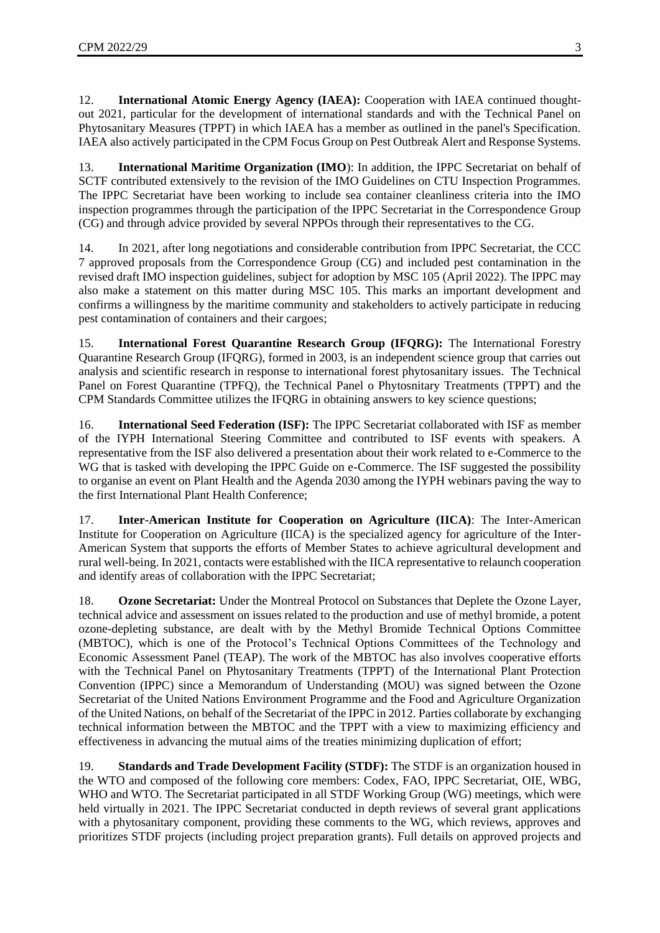12. **International Atomic Energy Agency (IAEA):** Cooperation with IAEA continued thoughtout 2021, particular for the development of international standards and with the Technical Panel on Phytosanitary Measures (TPPT) in which IAEA has a member as outlined in the panel's Specification. IAEA also actively participated in the CPM Focus Group on Pest Outbreak Alert and Response Systems.

13. **International Maritime Organization (IMO**): In addition, the IPPC Secretariat on behalf of SCTF contributed extensively to the revision of the IMO Guidelines on CTU Inspection Programmes. The IPPC Secretariat have been working to include sea container cleanliness criteria into the IMO inspection programmes through the participation of the IPPC Secretariat in the Correspondence Group (CG) and through advice provided by several NPPOs through their representatives to the CG.

14. In 2021, after long negotiations and considerable contribution from IPPC Secretariat, the CCC 7 approved proposals from the Correspondence Group (CG) and included pest contamination in the revised draft IMO inspection guidelines, subject for adoption by MSC 105 (April 2022). The IPPC may also make a statement on this matter during MSC 105. This marks an important development and confirms a willingness by the maritime community and stakeholders to actively participate in reducing pest contamination of containers and their cargoes;

15. **International Forest Quarantine Research Group (IFQRG):** The International Forestry Quarantine Research Group (IFQRG), formed in 2003, is an independent science group that carries out analysis and scientific research in response to international forest phytosanitary issues. The Technical Panel on Forest Quarantine (TPFQ), the Technical Panel o Phytosnitary Treatments (TPPT) and the CPM Standards Committee utilizes the IFQRG in obtaining answers to key science questions;

16. **International Seed Federation (ISF):** The IPPC Secretariat collaborated with ISF as member of the IYPH International Steering Committee and contributed to ISF events with speakers. A representative from the ISF also delivered a presentation about their work related to e-Commerce to the WG that is tasked with developing the IPPC Guide on e-Commerce. The ISF suggested the possibility to organise an event on Plant Health and the Agenda 2030 among the IYPH webinars paving the way to the first International Plant Health Conference;

17. **Inter-American Institute for Cooperation on Agriculture (IICA)**: The Inter-American Institute for Cooperation on Agriculture (IICA) is the specialized agency for agriculture of the Inter-American System that supports the efforts of Member States to achieve agricultural development and rural well-being. In 2021, contacts were established with the IICA representative to relaunch cooperation and identify areas of collaboration with the IPPC Secretariat;

18. **Ozone Secretariat:** Under the Montreal Protocol on Substances that Deplete the Ozone Layer, technical advice and assessment on issues related to the production and use of methyl bromide, a potent ozone-depleting substance, are dealt with by the Methyl Bromide Technical Options Committee (MBTOC), which is one of the Protocol's Technical Options Committees of the Technology and Economic Assessment Panel (TEAP). The work of the MBTOC has also involves cooperative efforts with the Technical Panel on Phytosanitary Treatments (TPPT) of the International Plant Protection Convention (IPPC) since a Memorandum of Understanding (MOU) was signed between the Ozone Secretariat of the United Nations Environment Programme and the Food and Agriculture Organization of the United Nations, on behalf of the Secretariat of the IPPC in 2012. Parties collaborate by exchanging technical information between the MBTOC and the TPPT with a view to maximizing efficiency and effectiveness in advancing the mutual aims of the treaties minimizing duplication of effort;

19. **Standards and Trade Development Facility (STDF):** The STDF is an organization housed in the WTO and composed of the following core members: Codex, FAO, IPPC Secretariat, OIE, WBG, WHO and WTO. The Secretariat participated in all STDF Working Group (WG) meetings, which were held virtually in 2021. The IPPC Secretariat conducted in depth reviews of several grant applications with a phytosanitary component, providing these comments to the WG, which reviews, approves and prioritizes STDF projects (including project preparation grants). Full details on approved projects and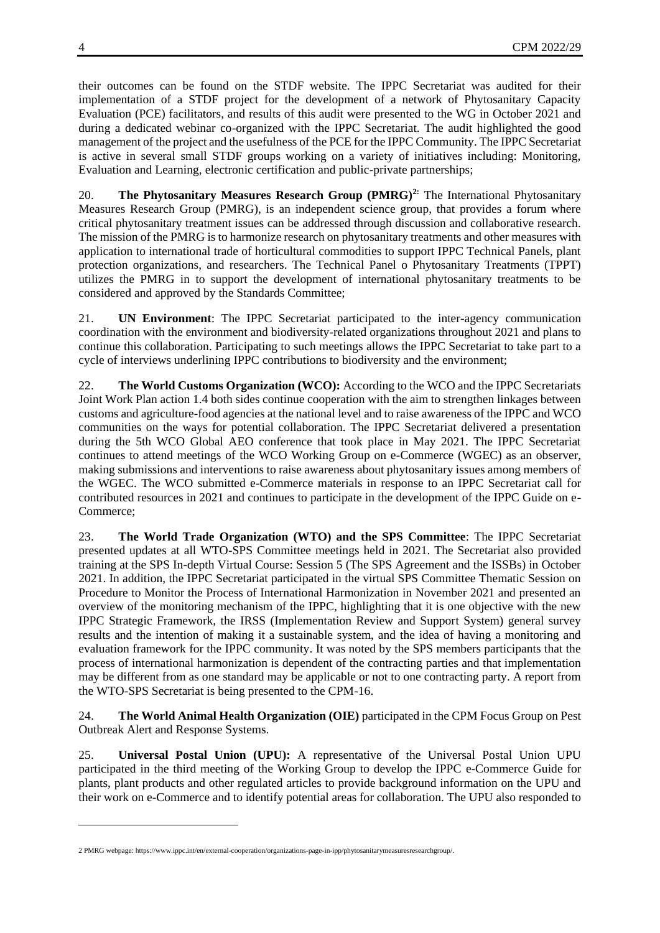their outcomes can be found on the STDF website. The IPPC Secretariat was audited for their implementation of a STDF project for the development of a network of Phytosanitary Capacity Evaluation (PCE) facilitators, and results of this audit were presented to the WG in October 2021 and during a dedicated webinar co-organized with the IPPC Secretariat. The audit highlighted the good management of the project and the usefulness of the PCE for the IPPC Community. The IPPC Secretariat is active in several small STDF groups working on a variety of initiatives including: Monitoring, Evaluation and Learning, electronic certification and public-private partnerships;

20. **The Phytosanitary Measures Research Group (PMRG)2:** The International Phytosanitary Measures Research Group (PMRG), is an independent science group, that provides a forum where critical phytosanitary treatment issues can be addressed through discussion and collaborative research. The mission of the PMRG is to harmonize research on phytosanitary treatments and other measures with application to international trade of horticultural commodities to support IPPC Technical Panels, plant protection organizations, and researchers. The Technical Panel o Phytosanitary Treatments (TPPT) utilizes the PMRG in to support the development of international phytosanitary treatments to be considered and approved by the Standards Committee;

21. **UN Environment**: The IPPC Secretariat participated to the inter-agency communication coordination with the environment and biodiversity-related organizations throughout 2021 and plans to continue this collaboration. Participating to such meetings allows the IPPC Secretariat to take part to a cycle of interviews underlining IPPC contributions to biodiversity and the environment;

22. **The World Customs Organization (WCO):** According to the WCO and the IPPC Secretariats Joint Work Plan action 1.4 both sides continue cooperation with the aim to strengthen linkages between customs and agriculture-food agencies at the national level and to raise awareness of the IPPC and WCO communities on the ways for potential collaboration. The IPPC Secretariat delivered a presentation during the 5th WCO Global AEO conference that took place in May 2021. The IPPC Secretariat continues to attend meetings of the WCO Working Group on e-Commerce (WGEC) as an observer, making submissions and interventions to raise awareness about phytosanitary issues among members of the WGEC. The WCO submitted e-Commerce materials in response to an IPPC Secretariat call for contributed resources in 2021 and continues to participate in the development of the IPPC Guide on e-Commerce;

23. **The World Trade Organization (WTO) and the SPS Committee**: The IPPC Secretariat presented updates at all WTO-SPS Committee meetings held in 2021. The Secretariat also provided training at the SPS In-depth Virtual Course: Session 5 (The SPS Agreement and the ISSBs) in October 2021. In addition, the IPPC Secretariat participated in the virtual SPS Committee Thematic Session on Procedure to Monitor the Process of International Harmonization in November 2021 and presented an overview of the monitoring mechanism of the IPPC, highlighting that it is one objective with the new IPPC Strategic Framework, the IRSS (Implementation Review and Support System) general survey results and the intention of making it a sustainable system, and the idea of having a monitoring and evaluation framework for the IPPC community. It was noted by the SPS members participants that the process of international harmonization is dependent of the contracting parties and that implementation may be different from as one standard may be applicable or not to one contracting party. A report from the WTO-SPS Secretariat is being presented to the CPM-16.

24. **The World Animal Health Organization (OIE)** participated in the CPM Focus Group on Pest Outbreak Alert and Response Systems.

25. **Universal Postal Union (UPU):** A representative of the Universal Postal Union UPU participated in the third meeting of the Working Group to develop the IPPC e-Commerce Guide for plants, plant products and other regulated articles to provide background information on the UPU and their work on e-Commerce and to identify potential areas for collaboration. The UPU also responded to

1

<sup>2</sup> PMRG webpage: [https://www.ippc.int/en/external-cooperation/organizations-page-in-ipp/phytosanitarymeasuresresearchgroup/.](https://www.ippc.int/en/external-cooperation/organizations-page-in-ipp/phytosanitarymeasuresresearchgroup/)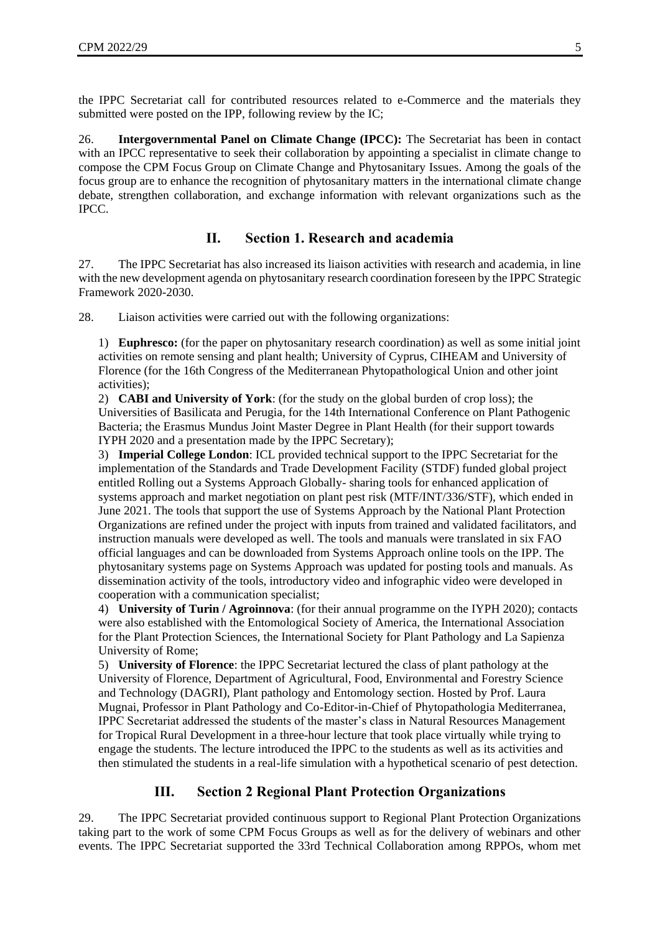the IPPC Secretariat call for contributed resources related to e-Commerce and the materials they submitted were posted on the IPP, following review by the IC;

26. **Intergovernmental Panel on Climate Change (IPCC):** The Secretariat has been in contact with an IPCC representative to seek their collaboration by appointing a specialist in climate change to compose the CPM Focus Group on Climate Change and Phytosanitary Issues. Among the goals of the focus group are to enhance the recognition of phytosanitary matters in the international climate change debate, strengthen collaboration, and exchange information with relevant organizations such as the IPCC.

#### **II. Section 1. Research and academia**

27. The IPPC Secretariat has also increased its liaison activities with research and academia, in line with the new development agenda on phytosanitary research coordination foreseen by the IPPC Strategic Framework 2020-2030.

28. Liaison activities were carried out with the following organizations:

1) **Euphresco:** (for the paper on phytosanitary research coordination) as well as some initial joint activities on remote sensing and plant health; University of Cyprus, CIHEAM and University of Florence (for the 16th Congress of the Mediterranean Phytopathological Union and other joint activities);

2) **CABI and University of York**: (for the study on the global burden of crop loss); the Universities of Basilicata and Perugia, for the 14th International Conference on Plant Pathogenic Bacteria; the Erasmus Mundus Joint Master Degree in Plant Health (for their support towards IYPH 2020 and a presentation made by the IPPC Secretary);

3) **Imperial College London**: ICL provided technical support to the IPPC Secretariat for the implementation of the Standards and Trade Development Facility (STDF) funded global project entitled Rolling out a Systems Approach Globally- [sharing tools for enhanced application of](https://www.ippc.int/en/core-activities/capacity-development/beyond-compliance-project/)  systems approach and market [negotiation on plant pest risk \(MTF/INT/336/STF\),](https://www.ippc.int/en/core-activities/capacity-development/beyond-compliance-project/) which ended in June 2021. The tools that support the use of Systems Approach by the National Plant Protection Organizations are refined under the project with inputs from trained and validated [facilitators,](https://www.ippc.int/en/core-activities/capacity-development/phytosanitary-system/systems-approach/beyond-compliance-facilitators/) and instruction manuals were developed as well. The tools and manuals were translated in six FAO official languages and can be downloaded from [Systems Approach online tools](https://www.ippc.int/en/core-activities/capacity-development/phytosanitary-system/systems-approach/systems-approach-online-tools/) on the IPP. The [phytosanitary systems page on Systems Approach](https://www.ippc.int/en/core-activities/capacity-development/phytosanitary-system/systems-approach/) was updated for posting tools and manuals. As dissemination activity of the tools, introductory video and infographic video were developed in cooperation with a communication specialist;

4) **University of Turin / Agroinnova**: (for their annual programme on the IYPH 2020); contacts were also established with the Entomological Society of America, the International Association for the Plant Protection Sciences, the International Society for Plant Pathology and La Sapienza University of Rome;

5) **University of Florence**: the IPPC Secretariat lectured the class of plant pathology at the University of Florence, Department of Agricultural, Food, Environmental and Forestry Science and Technology (DAGRI), Plant pathology and Entomology section. Hosted by Prof. Laura Mugnai, Professor in Plant Pathology and Co-Editor-in-Chief of [Phytopathologia Mediterranea,](https://oajournals.fupress.net/index.php/pm) IPPC Secretariat addressed the students of the master's class in [Natural Resources Management](https://www.unifi.it/p-cor2-2021-101221-B216-0-0-0.html)  [for Tropical Rural Development](https://www.unifi.it/p-cor2-2021-101221-B216-0-0-0.html) in a three-hour lecture that took place virtually while trying to engage the students. The lecture introduced the IPPC to the students as well as its activities and then stimulated the students in a real-life simulation with a hypothetical scenario of pest detection.

#### **III. Section 2 Regional Plant Protection Organizations**

29. The IPPC Secretariat provided continuous support to Regional Plant Protection Organizations taking part to the work of some CPM Focus Groups as well as for the delivery of webinars and other events. The IPPC Secretariat supported the 33rd Technical Collaboration among RPPOs, whom met